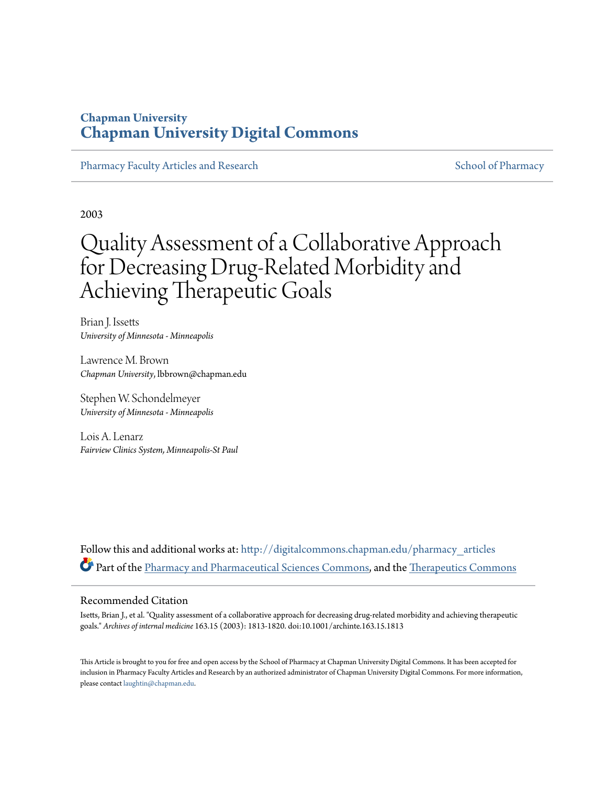## **Chapman University [Chapman University Digital Commons](http://digitalcommons.chapman.edu?utm_source=digitalcommons.chapman.edu%2Fpharmacy_articles%2F169&utm_medium=PDF&utm_campaign=PDFCoverPages)**

[Pharmacy Faculty Articles and Research](http://digitalcommons.chapman.edu/pharmacy_articles?utm_source=digitalcommons.chapman.edu%2Fpharmacy_articles%2F169&utm_medium=PDF&utm_campaign=PDFCoverPages) [School of Pharmacy](http://digitalcommons.chapman.edu/cusp?utm_source=digitalcommons.chapman.edu%2Fpharmacy_articles%2F169&utm_medium=PDF&utm_campaign=PDFCoverPages) School of Pharmacy

2003

# Quality Assessment of a Collaborative Approach for Decreasing Drug-Related Morbidity and Achieving Therapeutic Goals

Brian J. Issetts *University of Minnesota - Minneapolis*

Lawrence M. Brown *Chapman University*, lbbrown@chapman.edu

Stephen W. Schondelmeyer *University of Minnesota - Minneapolis*

Lois A. Lenarz *Fairview Clinics System, Minneapolis-St Paul*

Follow this and additional works at: [http://digitalcommons.chapman.edu/pharmacy\\_articles](http://digitalcommons.chapman.edu/pharmacy_articles?utm_source=digitalcommons.chapman.edu%2Fpharmacy_articles%2F169&utm_medium=PDF&utm_campaign=PDFCoverPages) Part of the [Pharmacy and Pharmaceutical Sciences Commons](http://network.bepress.com/hgg/discipline/731?utm_source=digitalcommons.chapman.edu%2Fpharmacy_articles%2F169&utm_medium=PDF&utm_campaign=PDFCoverPages), and the [Therapeutics Commons](http://network.bepress.com/hgg/discipline/993?utm_source=digitalcommons.chapman.edu%2Fpharmacy_articles%2F169&utm_medium=PDF&utm_campaign=PDFCoverPages)

## Recommended Citation

Isetts, Brian J., et al. "Quality assessment of a collaborative approach for decreasing drug-related morbidity and achieving therapeutic goals." *Archives of internal medicine* 163.15 (2003): 1813-1820. doi:10.1001/archinte.163.15.1813

This Article is brought to you for free and open access by the School of Pharmacy at Chapman University Digital Commons. It has been accepted for inclusion in Pharmacy Faculty Articles and Research by an authorized administrator of Chapman University Digital Commons. For more information, please contact [laughtin@chapman.edu.](mailto:laughtin@chapman.edu)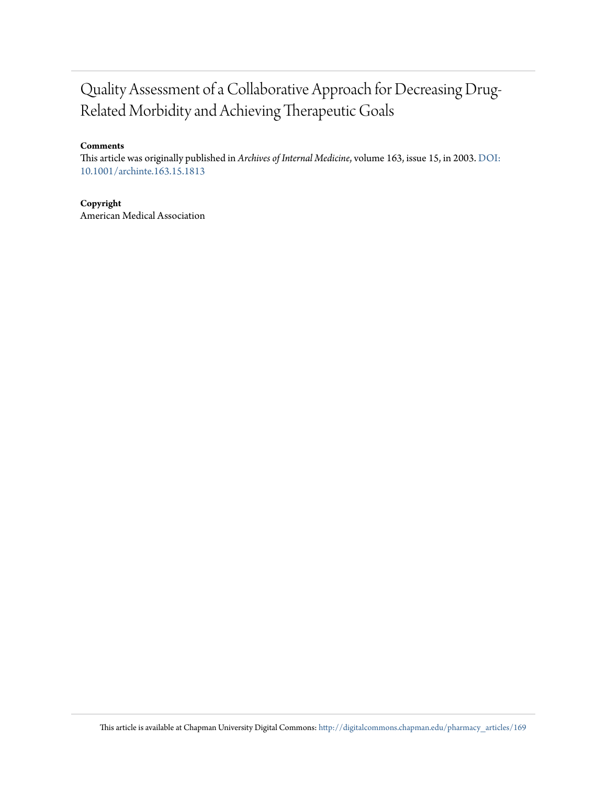## Quality Assessment of a Collaborative Approach for Decreasing Drug-Related Morbidity and Achieving Therapeutic Goals

## **Comments**

This article was originally published in *Archives of Internal Medicine*, volume 163, issue 15, in 2003. [DOI:](http://dx.doi.org/10.1001/archinte.163.15.1813) [10.1001/archinte.163.15.1813](http://dx.doi.org/10.1001/archinte.163.15.1813)

## **Copyright**

American Medical Association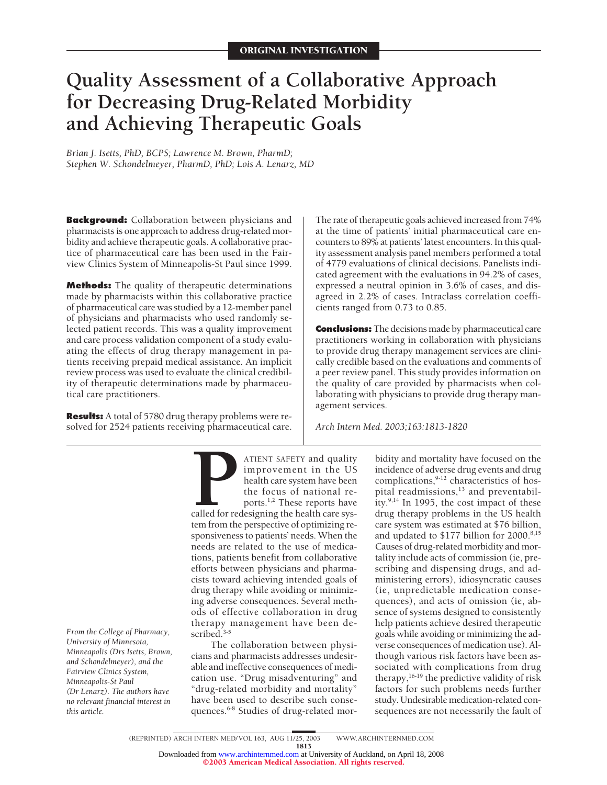## **Quality Assessment of a Collaborative Approach for Decreasing Drug-Related Morbidity and Achieving Therapeutic Goals**

*Brian J. Isetts, PhD, BCPS; Lawrence M. Brown, PharmD; Stephen W. Schondelmeyer, PharmD, PhD; Lois A. Lenarz, MD*

**Background:** Collaboration between physicians and pharmacists is one approach to address drug-related morbidity and achieve therapeutic goals. A collaborative practice of pharmaceutical care has been used in the Fairview Clinics System of Minneapolis-St Paul since 1999.

**Methods:** The quality of therapeutic determinations made by pharmacists within this collaborative practice of pharmaceutical care was studied by a 12-member panel of physicians and pharmacists who used randomly selected patient records. This was a quality improvement and care process validation component of a study evaluating the effects of drug therapy management in patients receiving prepaid medical assistance. An implicit review process was used to evaluate the clinical credibility of therapeutic determinations made by pharmaceutical care practitioners.

**Results:** A total of 5780 drug therapy problems were resolved for 2524 patients receiving pharmaceutical care.

The rate of therapeutic goals achieved increased from 74% at the time of patients' initial pharmaceutical care encounters to 89% at patients' latest encounters. In this quality assessment analysis panel members performed a total of 4779 evaluations of clinical decisions. Panelists indicated agreement with the evaluations in 94.2% of cases, expressed a neutral opinion in 3.6% of cases, and disagreed in 2.2% of cases. Intraclass correlation coefficients ranged from 0.73 to 0.85.

**Conclusions:** The decisions made by pharmaceutical care practitioners working in collaboration with physicians to provide drug therapy management services are clinically credible based on the evaluations and comments of a peer review panel. This study provides information on the quality of care provided by pharmacists when collaborating with physicians to provide drug therapy management services.

*Arch Intern Med. 2003;163:1813-1820*

*From the College of Pharmacy, University of Minnesota, Minneapolis (Drs Isetts, Brown, and Schondelmeyer), and the Fairview Clinics System, Minneapolis-St Paul (Dr Lenarz). The authors have no relevant financial interest in this article.*

**PERTUANT SAFETY and quality**<br>
improvement in the US<br>
health care system have been<br>
the focus of national re-<br>
ports.<sup>1,2</sup> These reports have<br>
called for redesigning the health care sys-<br>
tem from the perspective of optimi improvement in the US health care system have been the focus of national reports.1,2 These reports have called for redesigning the health care system from the perspective of optimizing responsiveness to patients' needs. When the needs are related to the use of medications, patients benefit from collaborative efforts between physicians and pharmacists toward achieving intended goals of drug therapy while avoiding or minimizing adverse consequences. Several methods of effective collaboration in drug therapy management have been described.<sup>3-5</sup>

The collaboration between physicians and pharmacists addresses undesirable and ineffective consequences of medication use. "Drug misadventuring" and "drug-related morbidity and mortality" have been used to describe such consequences.6-8 Studies of drug-related mor-

bidity and mortality have focused on the incidence of adverse drug events and drug complications, <sup>9-12</sup> characteristics of hospital readmissions,<sup>13</sup> and preventability.9,14 In 1995, the cost impact of these drug therapy problems in the US health care system was estimated at \$76 billion, and updated to \$177 billion for  $2000$ .<sup>8,15</sup> Causes of drug-related morbidity and mortality include acts of commission (ie, prescribing and dispensing drugs, and administering errors), idiosyncratic causes (ie, unpredictable medication consequences), and acts of omission (ie, absence of systems designed to consistently help patients achieve desired therapeutic goals while avoiding or minimizing the adverse consequences of medication use). Although various risk factors have been associated with complications from drug therapy,  $16-19$  the predictive validity of risk factors for such problems needs further study. Undesirable medication-related consequences are not necessarily the fault of

1813

©2003 American Medical Association. All rights reserved. Downloaded from [www.archinternmed.com](http://www.archinternmed.com) at University of Auckland, on April 18, 2008

<sup>(</sup>REPRINTED) ARCH INTERN MED/ VOL 163, AUG 11/25, 2003 WWW.ARCHINTERNMED.COM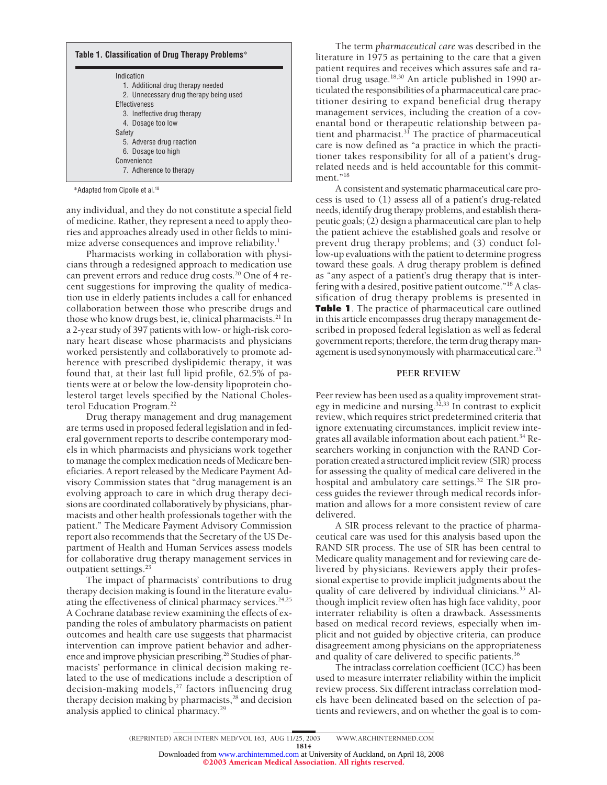| Table 1. Classification of Drug Therapy Problems*                                                                                                                                                                                                                           |  |
|-----------------------------------------------------------------------------------------------------------------------------------------------------------------------------------------------------------------------------------------------------------------------------|--|
| Indication<br>1. Additional drug therapy needed<br>2. Unnecessary drug therapy being used<br><b>Effectiveness</b><br>3. Ineffective drug therapy<br>4. Dosage too low<br>Safety<br>5. Adverse drug reaction<br>6. Dosage too high<br>Convenience<br>7. Adherence to therapy |  |

\*Adapted from Cipolle et al.18

any individual, and they do not constitute a special field of medicine. Rather, they represent a need to apply theories and approaches already used in other fields to minimize adverse consequences and improve reliability.<sup>1</sup>

Pharmacists working in collaboration with physicians through a redesigned approach to medication use can prevent errors and reduce drug costs.<sup>20</sup> One of 4 recent suggestions for improving the quality of medication use in elderly patients includes a call for enhanced collaboration between those who prescribe drugs and those who know drugs best, ie, clinical pharmacists.<sup>21</sup> In a 2-year study of 397 patients with low- or high-risk coronary heart disease whose pharmacists and physicians worked persistently and collaboratively to promote adherence with prescribed dyslipidemic therapy, it was found that, at their last full lipid profile, 62.5% of patients were at or below the low-density lipoprotein cholesterol target levels specified by the National Cholesterol Education Program.<sup>22</sup>

Drug therapy management and drug management are terms used in proposed federal legislation and in federal government reports to describe contemporary models in which pharmacists and physicians work together to manage the complex medication needs of Medicare beneficiaries. A report released by the Medicare Payment Advisory Commission states that "drug management is an evolving approach to care in which drug therapy decisions are coordinated collaboratively by physicians, pharmacists and other health professionals together with the patient." The Medicare Payment Advisory Commission report also recommends that the Secretary of the US Department of Health and Human Services assess models for collaborative drug therapy management services in outpatient settings.<sup>23</sup>

The impact of pharmacists' contributions to drug therapy decision making is found in the literature evaluating the effectiveness of clinical pharmacy services.<sup>24,25</sup> A Cochrane database review examining the effects of expanding the roles of ambulatory pharmacists on patient outcomes and health care use suggests that pharmacist intervention can improve patient behavior and adherence and improve physician prescribing.<sup>26</sup> Studies of pharmacists' performance in clinical decision making related to the use of medications include a description of decision-making models,<sup>27</sup> factors influencing drug therapy decision making by pharmacists,<sup>28</sup> and decision analysis applied to clinical pharmacy.29

The term *pharmaceutical care* was described in the literature in 1975 as pertaining to the care that a given patient requires and receives which assures safe and rational drug usage.<sup>18,30</sup> An article published in 1990 articulated the responsibilities of a pharmaceutical care practitioner desiring to expand beneficial drug therapy management services, including the creation of a covenantal bond or therapeutic relationship between patient and pharmacist.31 The practice of pharmaceutical care is now defined as "a practice in which the practitioner takes responsibility for all of a patient's drugrelated needs and is held accountable for this commitment."<sup>18</sup>

A consistent and systematic pharmaceutical care process is used to (1) assess all of a patient's drug-related needs, identify drug therapy problems, and establish therapeutic goals; (2) design a pharmaceutical care plan to help the patient achieve the established goals and resolve or prevent drug therapy problems; and (3) conduct follow-up evaluations with the patient to determine progress toward these goals. A drug therapy problem is defined as "any aspect of a patient's drug therapy that is interfering with a desired, positive patient outcome."18 A classification of drug therapy problems is presented in **Table 1**. The practice of pharmaceutical care outlined in this article encompasses drug therapy management described in proposed federal legislation as well as federal government reports; therefore, the term drug therapy management is used synonymously with pharmaceutical care.<sup>23</sup>

#### **PEER REVIEW**

Peer review has been used as a quality improvement strategy in medicine and nursing. $32,33$  In contrast to explicit review, which requires strict predetermined criteria that ignore extenuating circumstances, implicit review integrates all available information about each patient.34 Researchers working in conjunction with the RAND Corporation created a structured implicit review (SIR) process for assessing the quality of medical care delivered in the hospital and ambulatory care settings.<sup>32</sup> The SIR process guides the reviewer through medical records information and allows for a more consistent review of care delivered.

A SIR process relevant to the practice of pharmaceutical care was used for this analysis based upon the RAND SIR process. The use of SIR has been central to Medicare quality management and for reviewing care delivered by physicians. Reviewers apply their professional expertise to provide implicit judgments about the quality of care delivered by individual clinicians.<sup>35</sup> Although implicit review often has high face validity, poor interrater reliability is often a drawback. Assessments based on medical record reviews, especially when implicit and not guided by objective criteria, can produce disagreement among physicians on the appropriateness and quality of care delivered to specific patients.<sup>36</sup>

The intraclass correlation coefficient (ICC) has been used to measure interrater reliability within the implicit review process. Six different intraclass correlation models have been delineated based on the selection of patients and reviewers, and on whether the goal is to com-

(REPRINTED) ARCH INTERN MED/ VOL 163, AUG 11/25, 2003 WWW.ARCHINTERNMED.COM

1814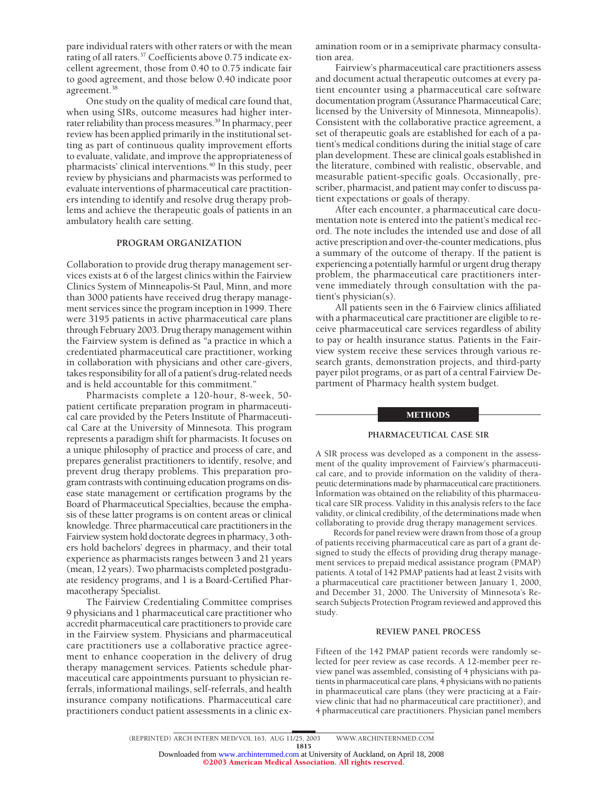pare individual raters with other raters or with the mean rating of all raters.<sup>37</sup> Coefficients above 0.75 indicate excellent agreement, those from 0.40 to 0.75 indicate fair to good agreement, and those below 0.40 indicate poor agreement.<sup>38</sup>

One study on the quality of medical care found that, when using SIRs, outcome measures had higher interrater reliability than process measures.<sup>39</sup> In pharmacy, peer review has been applied primarily in the institutional setting as part of continuous quality improvement efforts to evaluate, validate, and improve the appropriateness of pharmacists' clinical interventions.40 In this study, peer review by physicians and pharmacists was performed to evaluate interventions of pharmaceutical care practitioners intending to identify and resolve drug therapy problems and achieve the therapeutic goals of patients in an ambulatory health care setting.

#### **PROGRAM ORGANIZATION**

Collaboration to provide drug therapy management services exists at 6 of the largest clinics within the Fairview Clinics System of Minneapolis-St Paul, Minn, and more than 3000 patients have received drug therapy management services since the program inception in 1999. There were 3195 patients in active pharmaceutical care plans through February 2003. Drug therapy management within the Fairview system is defined as *"*a practice in which a credentiated pharmaceutical care practitioner, working in collaboration with physicians and other care-givers, takes responsibility for all of a patient's drug-related needs and is held accountable for this commitment."

Pharmacists complete a 120-hour, 8-week, 50 patient certificate preparation program in pharmaceutical care provided by the Peters Institute of Pharmaceutical Care at the University of Minnesota. This program represents a paradigm shift for pharmacists. It focuses on a unique philosophy of practice and process of care, and prepares generalist practitioners to identify, resolve, and prevent drug therapy problems. This preparation program contrasts with continuing education programs on disease state management or certification programs by the Board of Pharmaceutical Specialties, because the emphasis of these latter programs is on content areas or clinical knowledge. Three pharmaceutical care practitioners in the Fairview system hold doctorate degrees in pharmacy, 3 others hold bachelors' degrees in pharmacy, and their total experience as pharmacists ranges between 3 and 21 years (mean, 12 years). Two pharmacists completed postgraduate residency programs, and 1 is a Board-Certified Pharmacotherapy Specialist.

The Fairview Credentialing Committee comprises 9 physicians and 1 pharmaceutical care practitioner who accredit pharmaceutical care practitioners to provide care in the Fairview system. Physicians and pharmaceutical care practitioners use a collaborative practice agreement to enhance cooperation in the delivery of drug therapy management services. Patients schedule pharmaceutical care appointments pursuant to physician referrals, informational mailings, self-referrals, and health insurance company notifications. Pharmaceutical care practitioners conduct patient assessments in a clinic examination room or in a semiprivate pharmacy consultation area.

Fairview's pharmaceutical care practitioners assess and document actual therapeutic outcomes at every patient encounter using a pharmaceutical care software documentation program (Assurance Pharmaceutical Care; licensed by the University of Minnesota, Minneapolis). Consistent with the collaborative practice agreement, a set of therapeutic goals are established for each of a patient's medical conditions during the initial stage of care plan development. These are clinical goals established in the literature, combined with realistic, observable, and measurable patient-specific goals. Occasionally, prescriber, pharmacist, and patient may confer to discuss patient expectations or goals of therapy.

After each encounter, a pharmaceutical care documentation note is entered into the patient's medical record. The note includes the intended use and dose of all active prescription and over-the-counter medications, plus a summary of the outcome of therapy. If the patient is experiencing a potentially harmful or urgent drug therapy problem, the pharmaceutical care practitioners intervene immediately through consultation with the patient's physician(s).

All patients seen in the 6 Fairview clinics affiliated with a pharmaceutical care practitioner are eligible to receive pharmaceutical care services regardless of ability to pay or health insurance status. Patients in the Fairview system receive these services through various research grants, demonstration projects, and third-party payer pilot programs, or as part of a central Fairview Department of Pharmacy health system budget.

#### **METHODS**

#### **PHARMACEUTICAL CASE SIR**

A SIR process was developed as a component in the assessment of the quality improvement of Fairview's pharmaceutical care, and to provide information on the validity of therapeutic determinations made by pharmaceutical care practitioners. Information was obtained on the reliability of this pharmaceutical care SIR process. Validity in this analysis refers to the face validity, or clinical credibility, of the determinations made when collaborating to provide drug therapy management services.

Records for panel review were drawn from those of a group of patients receiving pharmaceutical care as part of a grant designed to study the effects of providing drug therapy management services to prepaid medical assistance program (PMAP) patients. A total of 142 PMAP patients had at least 2 visits with a pharmaceutical care practitioner between January 1, 2000, and December 31, 2000. The University of Minnesota's Research Subjects Protection Program reviewed and approved this study.

#### **REVIEW PANEL PROCESS**

Fifteen of the 142 PMAP patient records were randomly selected for peer review as case records. A 12-member peer review panel was assembled, consisting of 4 physicians with patients in pharmaceutical care plans, 4 physicians with no patients in pharmaceutical care plans (they were practicing at a Fairview clinic that had no pharmaceutical care practitioner), and 4 pharmaceutical care practitioners. Physician panel members

(REPRINTED) ARCH INTERN MED/ VOL 163, AUG 11/25, 2003 WWW.ARCHINTERNMED.COM

1815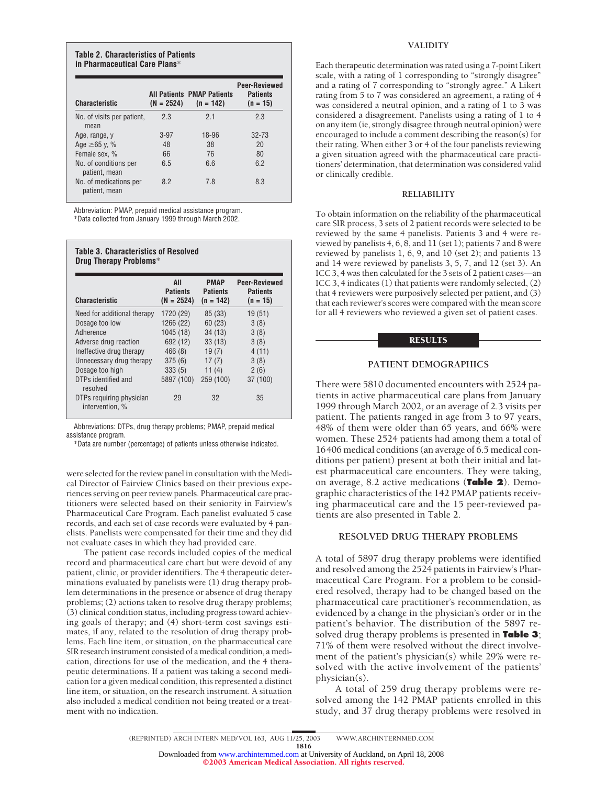#### **Table 2. Characteristics of Patients in Pharmaceutical Care Plans**\*

| <b>Characteristic</b>                   | $(N = 2524)$ | <b>All Patients PMAP Patients</b><br>$(n = 142)$ | <b>Peer-Reviewed</b><br><b>Patients</b><br>$(n = 15)$ |
|-----------------------------------------|--------------|--------------------------------------------------|-------------------------------------------------------|
| No. of visits per patient,<br>mean      | 2.3          | 21                                               | 2.3                                                   |
| Age, range, y                           | $3-97$       | 18-96                                            | $32 - 73$                                             |
| Age $\geq 65$ y, %                      | 48           | 38                                               | 20                                                    |
| Female sex, %                           | 66           | 76                                               | 80                                                    |
| No. of conditions per<br>patient, mean  | 6.5          | 6.6                                              | 6.2                                                   |
| No. of medications per<br>patient, mean | 8.2          | 7.8                                              | 8.3                                                   |

Abbreviation: PMAP, prepaid medical assistance program. \*Data collected from January 1999 through March 2002.

**Table 3. Characteristics of Resolved Drug Therapy Problems**\*

| <b>Characteristic</b>                       | All<br><b>Patients</b><br>$(N = 2524)$ | <b>PMAP</b><br><b>Patients</b><br>$(n = 142)$ | <b>Peer-Reviewed</b><br><b>Patients</b><br>$(n = 15)$ |
|---------------------------------------------|----------------------------------------|-----------------------------------------------|-------------------------------------------------------|
| Need for additional therapy                 | 1720 (29)                              | 85 (33)                                       | 19(51)                                                |
| Dosage too low                              | 1266 (22)                              | 60(23)                                        | 3(8)                                                  |
| Adherence                                   | 1045 (18)                              | 34(13)                                        | 3(8)                                                  |
| Adverse drug reaction                       | 692 (12)                               | 33(13)                                        | 3(8)                                                  |
| Ineffective drug therapy                    | 466(8)                                 | 19(7)                                         | 4(11)                                                 |
| Unnecessary drug therapy                    | 375(6)                                 | 17(7)                                         | 3(8)                                                  |
| Dosage too high                             | 333(5)                                 | 11 $(4)$                                      | 2(6)                                                  |
| DTPs identified and<br>resolved             | 5897 (100)                             | 259 (100)                                     | 37 (100)                                              |
| DTPs requiring physician<br>intervention. % | 29                                     | 32                                            | 35                                                    |

Abbreviations: DTPs, drug therapy problems; PMAP, prepaid medical assistance program.

\*Data are number (percentage) of patients unless otherwise indicated.

were selected for the review panel in consultation with the Medical Director of Fairview Clinics based on their previous experiences serving on peer review panels. Pharmaceutical care practitioners were selected based on their seniority in Fairview's Pharmaceutical Care Program. Each panelist evaluated 5 case records, and each set of case records were evaluated by 4 panelists. Panelists were compensated for their time and they did not evaluate cases in which they had provided care.

The patient case records included copies of the medical record and pharmaceutical care chart but were devoid of any patient, clinic, or provider identifiers. The 4 therapeutic determinations evaluated by panelists were (1) drug therapy problem determinations in the presence or absence of drug therapy problems; (2) actions taken to resolve drug therapy problems; (3) clinical condition status, including progress toward achieving goals of therapy; and (4) short-term cost savings estimates, if any, related to the resolution of drug therapy problems. Each line item, or situation, on the pharmaceutical care SIR research instrument consisted of a medical condition, a medication, directions for use of the medication, and the 4 therapeutic determinations. If a patient was taking a second medication for a given medical condition, this represented a distinct line item, or situation, on the research instrument. A situation also included a medical condition not being treated or a treatment with no indication.

#### **VALIDITY**

Each therapeutic determination was rated using a 7-point Likert scale, with a rating of 1 corresponding to "strongly disagree" and a rating of 7 corresponding to "strongly agree." A Likert rating from 5 to 7 was considered an agreement, a rating of 4 was considered a neutral opinion, and a rating of 1 to 3 was considered a disagreement. Panelists using a rating of 1 to 4 on any item (ie, strongly disagree through neutral opinion) were encouraged to include a comment describing the reason(s) for their rating. When either 3 or 4 of the four panelists reviewing a given situation agreed with the pharmaceutical care practitioners' determination, that determination was considered valid or clinically credible.

#### **RELIABILITY**

To obtain information on the reliability of the pharmaceutical care SIR process, 3 sets of 2 patient records were selected to be reviewed by the same 4 panelists. Patients 3 and 4 were reviewed by panelists 4, 6, 8, and 11 (set 1); patients 7 and 8 were reviewed by panelists 1, 6, 9, and 10 (set 2); and patients 13 and 14 were reviewed by panelists 3, 5, 7, and 12 (set 3). An ICC 3, 4 was then calculated for the 3 sets of 2 patient cases—an ICC 3, 4 indicates (1) that patients were randomly selected, (2) that 4 reviewers were purposively selected per patient, and (3) that each reviewer's scores were compared with the mean score for all 4 reviewers who reviewed a given set of patient cases.

#### RESULTS

### **PATIENT DEMOGRAPHICS**

There were 5810 documented encounters with 2524 patients in active pharmaceutical care plans from January 1999 through March 2002, or an average of 2.3 visits per patient. The patients ranged in age from 3 to 97 years, 48% of them were older than 65 years, and 66% were women. These 2524 patients had among them a total of 16406 medical conditions (an average of 6.5 medical conditions per patient) present at both their initial and latest pharmaceutical care encounters. They were taking, on average, 8.2 active medications (**Table 2**). Demographic characteristics of the 142 PMAP patients receiving pharmaceutical care and the 15 peer-reviewed patients are also presented in Table 2.

#### **RESOLVED DRUG THERAPY PROBLEMS**

A total of 5897 drug therapy problems were identified and resolved among the 2524 patients in Fairview's Pharmaceutical Care Program. For a problem to be considered resolved, therapy had to be changed based on the pharmaceutical care practitioner's recommendation, as evidenced by a change in the physician's order or in the patient's behavior. The distribution of the 5897 resolved drug therapy problems is presented in **Table 3**; 71% of them were resolved without the direct involvement of the patient's physician(s) while 29% were resolved with the active involvement of the patients' physician(s).

A total of 259 drug therapy problems were resolved among the 142 PMAP patients enrolled in this study, and 37 drug therapy problems were resolved in

(REPRINTED) ARCH INTERN MED/ VOL 163, AUG 11/25, 2003 WWW.ARCHINTERNMED.COM

1816

©2003 American Medical Association. All rights reserved. Downloaded from [www.archinternmed.com](http://www.archinternmed.com) at University of Auckland, on April 18, 2008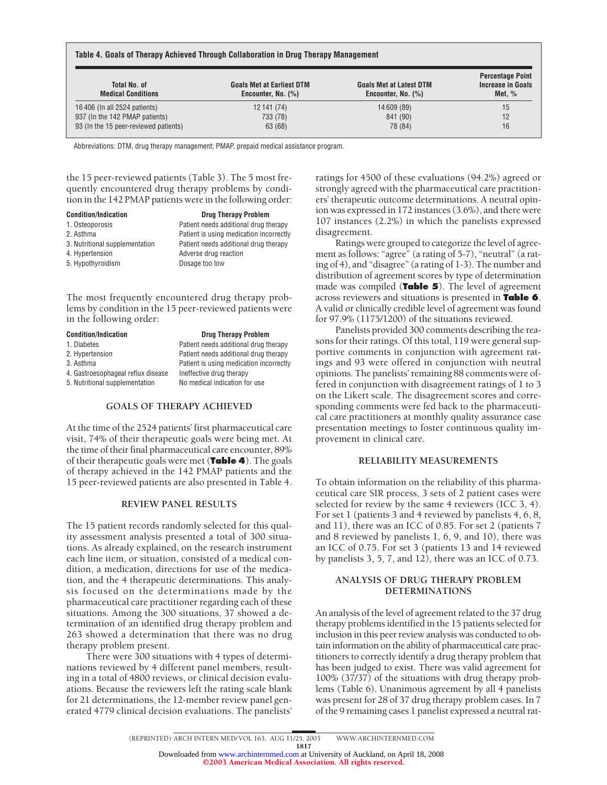| Table 4. Goals of Therapy Achieved Through Collaboration in Drug Therapy Management |                                                        |                                                      |                                                                 |  |  |
|-------------------------------------------------------------------------------------|--------------------------------------------------------|------------------------------------------------------|-----------------------------------------------------------------|--|--|
| Total No. of<br><b>Medical Conditions</b>                                           | <b>Goals Met at Earliest DTM</b><br>Encounter, No. (%) | <b>Goals Met at Latest DTM</b><br>Encounter, No. (%) | <b>Percentage Point</b><br><b>Increase in Goals</b><br>Met. $%$ |  |  |
| 16 406 (In all 2524 patients)                                                       | 12 141 (74)                                            | 14 609 (89)                                          | 15                                                              |  |  |
| 937 (In the 142 PMAP patients)                                                      | 733 (78)                                               | 841 (90)                                             | 12                                                              |  |  |
| 93 (In the 15 peer-reviewed patients)                                               | 63 (68)                                                | 78 (84)                                              | 16                                                              |  |  |

Abbreviations: DTM, drug therapy management; PMAP, prepaid medical assistance program.

the 15 peer-reviewed patients (Table 3). The 5 most frequently encountered drug therapy problems by condition in the 142 PMAP patients were in the following order:

| <b>Drug Therapy Problem</b>             |
|-----------------------------------------|
| Patient needs additional drug therapy   |
| Patient is using medication incorrectly |
| Patient needs additional drug therapy   |
| Adverse drug reaction                   |
| Dosage too low                          |
|                                         |

The most frequently encountered drug therapy problems by condition in the 15 peer-reviewed patients were in the following order:

| <b>Condition/Indication</b>        | <b>Drug Therapy Problem</b>             |
|------------------------------------|-----------------------------------------|
| 1. Diabetes                        | Patient needs additional drug therapy   |
| 2. Hypertension                    | Patient needs additional drug therapy   |
| 3. Asthma                          | Patient is using medication incorrectly |
| 4. Gastroesophageal reflux disease | Ineffective drug therapy                |
| 5. Nutritional supplementation     | No medical indication for use           |
|                                    |                                         |

### **GOALS OF THERAPY ACHIEVED**

At the time of the 2524 patients' first pharmaceutical care visit, 74% of their therapeutic goals were being met. At the time of their final pharmaceutical care encounter, 89% of their therapeutic goals were met (**Table 4**). The goals of therapy achieved in the 142 PMAP patients and the 15 peer-reviewed patients are also presented in Table 4.

### **REVIEW PANEL RESULTS**

The 15 patient records randomly selected for this quality assessment analysis presented a total of 300 situations. As already explained, on the research instrument each line item, or situation, consisted of a medical condition, a medication, directions for use of the medication, and the 4 therapeutic determinations. This analysis focused on the determinations made by the pharmaceutical care practitioner regarding each of these situations. Among the 300 situations, 37 showed a determination of an identified drug therapy problem and 263 showed a determination that there was no drug therapy problem present.

There were 300 situations with 4 types of determinations reviewed by 4 different panel members, resulting in a total of 4800 reviews, or clinical decision evaluations. Because the reviewers left the rating scale blank for 21 determinations, the 12-member review panel generated 4779 clinical decision evaluations. The panelists' ratings for 4500 of these evaluations (94.2%) agreed or strongly agreed with the pharmaceutical care practitioners' therapeutic outcome determinations. A neutral opinion was expressed in 172 instances (3.6%), and there were 107 instances (2.2%) in which the panelists expressed disagreement.

Ratings were grouped to categorize the level of agreement as follows: "agree" (a rating of 5-7), "neutral" (a rating of 4), and "disagree" (a rating of 1-3). The number and distribution of agreement scores by type of determination made was compiled (**Table 5**). The level of agreement across reviewers and situations is presented in **Table 6**. A valid or clinically credible level of agreement was found for 97.9% (1175/1200) of the situations reviewed.

Panelists provided 300 comments describing the reasons for their ratings. Of this total, 119 were general supportive comments in conjunction with agreement ratings and 93 were offered in conjunction with neutral opinions. The panelists' remaining 88 comments were offered in conjunction with disagreement ratings of 1 to 3 on the Likert scale. The disagreement scores and corresponding comments were fed back to the pharmaceutical care practitioners at monthly quality assurance case presentation meetings to foster continuous quality improvement in clinical care.

## **RELIABILITY MEASUREMENTS**

To obtain information on the reliability of this pharmaceutical care SIR process, 3 sets of 2 patient cases were selected for review by the same 4 reviewers (ICC 3, 4). For set 1 (patients 3 and 4 reviewed by panelists 4, 6, 8, and 11), there was an ICC of 0.85. For set 2 (patients 7 and 8 reviewed by panelists 1, 6, 9, and 10), there was an ICC of 0.75. For set 3 (patients 13 and 14 reviewed by panelists 3, 5, 7, and  $12$ ), there was an ICC of 0.73.

## **ANALYSIS OF DRUG THERAPY PROBLEM DETERMINATIONS**

An analysis of the level of agreement related to the 37 drug therapy problems identified in the 15 patients selected for inclusion in this peer review analysis was conducted to obtain information on the ability of pharmaceutical care practitioners to correctly identify a drug therapy problem that has been judged to exist. There was valid agreement for 100% (37/37) of the situations with drug therapy problems (Table 6). Unanimous agreement by all 4 panelists was present for 28 of 37 drug therapy problem cases. In 7 of the 9 remaining cases 1 panelist expressed a neutral rat-

1817

<sup>(</sup>REPRINTED) ARCH INTERN MED/ VOL 163, AUG 11/25, 2003 WWW.ARCHINTERNMED.COM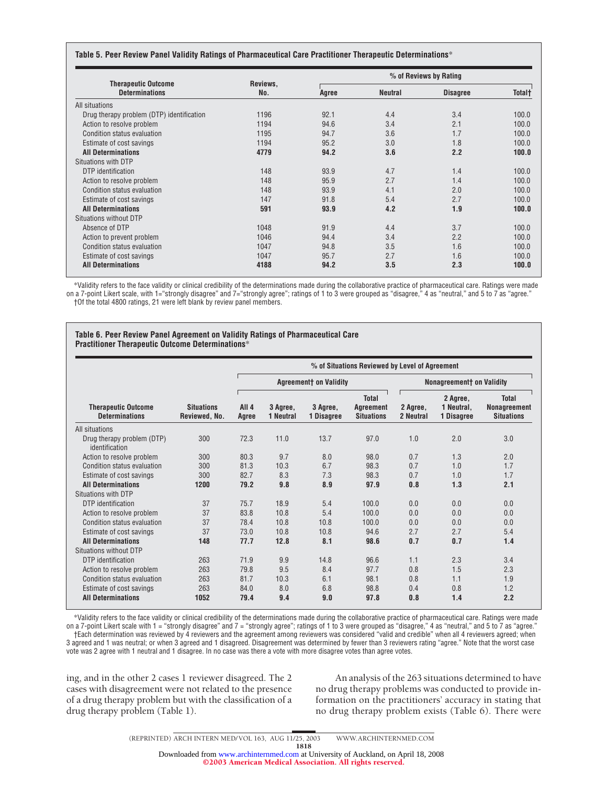#### **Table 5. Peer Review Panel Validity Ratings of Pharmaceutical Care Practitioner Therapeutic Determinations**\*

|                                                     |                 | % of Reviews by Rating |                |                 |        |  |
|-----------------------------------------------------|-----------------|------------------------|----------------|-----------------|--------|--|
| <b>Therapeutic Outcome</b><br><b>Determinations</b> | Reviews,<br>No. | Agree                  | <b>Neutral</b> | <b>Disagree</b> | Total† |  |
| All situations                                      |                 |                        |                |                 |        |  |
| Drug therapy problem (DTP) identification           | 1196            | 92.1                   | 4.4            | 3.4             | 100.0  |  |
| Action to resolve problem                           | 1194            | 94.6                   | 3.4            | 2.1             | 100.0  |  |
| Condition status evaluation                         | 1195            | 94.7                   | 3.6            | 1.7             | 100.0  |  |
| Estimate of cost savings                            | 1194            | 95.2                   | 3.0            | 1.8             | 100.0  |  |
| <b>All Determinations</b>                           | 4779            | 94.2                   | 3.6            | 2.2             | 100.0  |  |
| Situations with DTP                                 |                 |                        |                |                 |        |  |
| DTP identification                                  | 148             | 93.9                   | 4.7            | 1.4             | 100.0  |  |
| Action to resolve problem                           | 148             | 95.9                   | 2.7            | 1.4             | 100.0  |  |
| Condition status evaluation                         | 148             | 93.9                   | 4.1            | 2.0             | 100.0  |  |
| Estimate of cost savings                            | 147             | 91.8                   | 5.4            | 2.7             | 100.0  |  |
| <b>All Determinations</b>                           | 591             | 93.9                   | 4.2            | 1.9             | 100.0  |  |
| Situations without DTP                              |                 |                        |                |                 |        |  |
| Absence of DTP                                      | 1048            | 91.9                   | 4.4            | 3.7             | 100.0  |  |
| Action to prevent problem                           | 1046            | 94.4                   | 3.4            | 2.2             | 100.0  |  |
| Condition status evaluation                         | 1047            | 94.8                   | 3.5            | 1.6             | 100.0  |  |
| Estimate of cost savings                            | 1047            | 95.7                   | 2.7            | 1.6             | 100.0  |  |
| <b>All Determinations</b>                           | 4188            | 94.2                   | 3.5            | 2.3             | 100.0  |  |

\*Validity refers to the face validity or clinical credibility of the determinations made during the collaborative practice of pharmaceutical care. Ratings were made on a 7-point Likert scale, with 1="strongly disagree" and 7="strongly agree"; ratings of 1 to 3 were grouped as "disagree," 4 as "neutral," and 5 to 7 as "agree." †Of the total 4800 ratings, 21 were left blank by review panel members.

#### **Table 6. Peer Review Panel Agreement on Validity Ratings of Pharmaceutical Care Practitioner Therapeutic Outcome Determinations**\*

|                                                     |                                    | % of Situations Reviewed by Level of Agreement |                       |                        |                                                       |                                  |                                      |                                                   |
|-----------------------------------------------------|------------------------------------|------------------------------------------------|-----------------------|------------------------|-------------------------------------------------------|----------------------------------|--------------------------------------|---------------------------------------------------|
|                                                     |                                    | <b>Agreementt on Validity</b>                  |                       |                        |                                                       | <b>Nonagreementt on Validity</b> |                                      |                                                   |
| <b>Therapeutic Outcome</b><br><b>Determinations</b> | <b>Situations</b><br>Reviewed, No. | All <sub>4</sub><br>Agree                      | 3 Agree,<br>1 Neutral | 3 Agree,<br>1 Disagree | <b>Total</b><br><b>Agreement</b><br><b>Situations</b> | 2 Agree,<br>2 Neutral            | 2 Agree,<br>1 Neutral.<br>1 Disagree | <b>Total</b><br>Nonagreement<br><b>Situations</b> |
| All situations                                      |                                    |                                                |                       |                        |                                                       |                                  |                                      |                                                   |
| Drug therapy problem (DTP)<br>identification        | 300                                | 72.3                                           | 11.0                  | 13.7                   | 97.0                                                  | 1.0                              | 2.0                                  | 3.0                                               |
| Action to resolve problem                           | 300                                | 80.3                                           | 9.7                   | 8.0                    | 98.0                                                  | 0.7                              | 1.3                                  | 2.0                                               |
| Condition status evaluation                         | 300                                | 81.3                                           | 10.3                  | 6.7                    | 98.3                                                  | 0.7                              | 1.0                                  | 1.7                                               |
| Estimate of cost savings                            | 300                                | 82.7                                           | 8.3                   | 7.3                    | 98.3                                                  | 0.7                              | 1.0                                  | 1.7                                               |
| <b>All Determinations</b>                           | 1200                               | 79.2                                           | 9.8                   | 8.9                    | 97.9                                                  | 0.8                              | 1.3                                  | 2.1                                               |
| Situations with DTP                                 |                                    |                                                |                       |                        |                                                       |                                  |                                      |                                                   |
| DTP identification                                  | 37                                 | 75.7                                           | 18.9                  | 5.4                    | 100.0                                                 | 0.0                              | 0.0                                  | 0.0                                               |
| Action to resolve problem                           | 37                                 | 83.8                                           | 10.8                  | 5.4                    | 100.0                                                 | 0.0                              | 0.0                                  | 0.0                                               |
| Condition status evaluation                         | 37                                 | 78.4                                           | 10.8                  | 10.8                   | 100.0                                                 | 0.0                              | 0.0                                  | 0.0                                               |
| Estimate of cost savings                            | 37                                 | 73.0                                           | 10.8                  | 10.8                   | 94.6                                                  | 2.7                              | 2.7                                  | 5.4                                               |
| <b>All Determinations</b>                           | 148                                | 77.7                                           | 12.8                  | 8.1                    | 98.6                                                  | 0.7                              | 0.7                                  | 1.4                                               |
| Situations without DTP                              |                                    |                                                |                       |                        |                                                       |                                  |                                      |                                                   |
| DTP identification                                  | 263                                | 71.9                                           | 9.9                   | 14.8                   | 96.6                                                  | 1.1                              | 2.3                                  | 3.4                                               |
| Action to resolve problem                           | 263                                | 79.8                                           | 9.5                   | 8.4                    | 97.7                                                  | 0.8                              | 1.5                                  | 2.3                                               |
| Condition status evaluation                         | 263                                | 81.7                                           | 10.3                  | 6.1                    | 98.1                                                  | 0.8                              | 1.1                                  | 1.9                                               |
| Estimate of cost savings                            | 263                                | 84.0                                           | 8.0                   | 6.8                    | 98.8                                                  | 0.4                              | 0.8                                  | 1.2                                               |
| <b>All Determinations</b>                           | 1052                               | 79.4                                           | 9.4                   | 9.0                    | 97.8                                                  | 0.8                              | 1.4                                  | 2.2                                               |

\*Validity refers to the face validity or clinical credibility of the determinations made during the collaborative practice of pharmaceutical care. Ratings were made on a 7-point Likert scale with 1 = "strongly disagree" and 7 = "strongly agree"; ratings of 1 to 3 were grouped as "disagree," 4 as "neutral," and 5 to 7 as "agree." †Each determination was reviewed by 4 reviewers and the agreement among reviewers was considered "valid and credible" when all 4 reviewers agreed; when 3 agreed and 1 was neutral; or when 3 agreed and 1 disagreed. Disagreement was determined by fewer than 3 reviewers rating "agree." Note that the worst case vote was 2 agree with 1 neutral and 1 disagree. In no case was there a vote with more disagree votes than agree votes.

ing, and in the other 2 cases 1 reviewer disagreed. The 2 cases with disagreement were not related to the presence of a drug therapy problem but with the classification of a drug therapy problem (Table 1).

An analysis of the 263 situations determined to have no drug therapy problems was conducted to provide information on the practitioners' accuracy in stating that no drug therapy problem exists (Table 6). There were

1818

©2003 American Medical Association. All rights reserved. Downloaded from [www.archinternmed.com](http://www.archinternmed.com) at University of Auckland, on April 18, 2008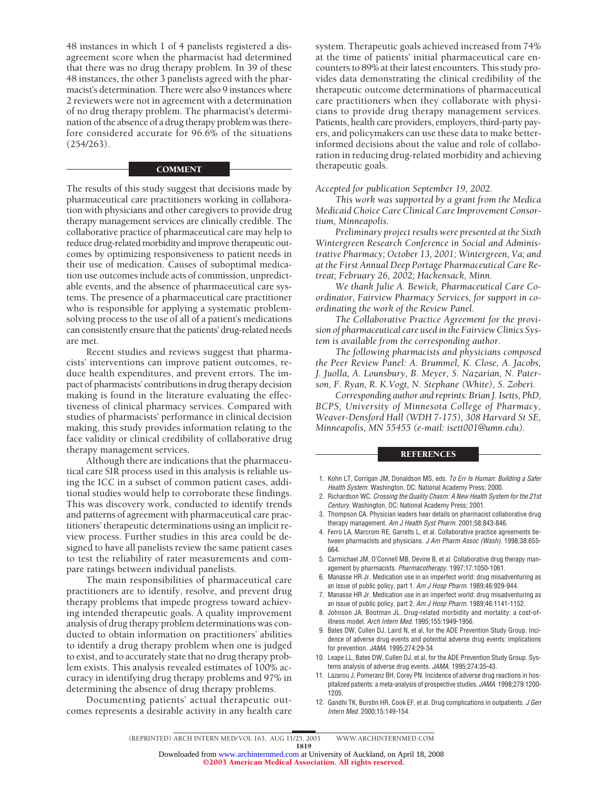48 instances in which 1 of 4 panelists registered a disagreement score when the pharmacist had determined that there was no drug therapy problem. In 39 of these 48 instances, the other 3 panelists agreed with the pharmacist's determination. There were also 9 instances where 2 reviewers were not in agreement with a determination of no drug therapy problem. The pharmacist's determination of the absence of a drug therapy problem was therefore considered accurate for 96.6% of the situations (254/263).

#### **COMMENT**

The results of this study suggest that decisions made by pharmaceutical care practitioners working in collaboration with physicians and other caregivers to provide drug therapy management services are clinically credible. The collaborative practice of pharmaceutical care may help to reduce drug-related morbidity and improve therapeutic outcomes by optimizing responsiveness to patient needs in their use of medication. Causes of suboptimal medication use outcomes include acts of commission, unpredictable events, and the absence of pharmaceutical care systems. The presence of a pharmaceutical care practitioner who is responsible for applying a systematic problemsolving process to the use of all of a patient's medications can consistently ensure that the patients' drug-related needs are met.

Recent studies and reviews suggest that pharmacists' interventions can improve patient outcomes, reduce health expenditures, and prevent errors. The impact of pharmacists' contributions in drug therapy decision making is found in the literature evaluating the effectiveness of clinical pharmacy services. Compared with studies of pharmacists' performance in clinical decision making, this study provides information relating to the face validity or clinical credibility of collaborative drug therapy management services.

Although there are indications that the pharmaceutical care SIR process used in this analysis is reliable using the ICC in a subset of common patient cases, additional studies would help to corroborate these findings. This was discovery work, conducted to identify trends and patterns of agreement with pharmaceutical care practitioners' therapeutic determinations using an implicit review process. Further studies in this area could be designed to have all panelists review the same patient cases to test the reliability of rater measurements and compare ratings between individual panelists.

The main responsibilities of pharmaceutical care practitioners are to identify, resolve, and prevent drug therapy problems that impede progress toward achieving intended therapeutic goals. A quality improvement analysis of drug therapy problem determinations was conducted to obtain information on practitioners' abilities to identify a drug therapy problem when one is judged to exist, and to accurately state that no drug therapy problem exists. This analysis revealed estimates of 100% accuracy in identifying drug therapy problems and 97% in determining the absence of drug therapy problems.

Documenting patients' actual therapeutic outcomes represents a desirable activity in any health care system. Therapeutic goals achieved increased from 74% at the time of patients' initial pharmaceutical care encounters to 89% at their latest encounters. This study provides data demonstrating the clinical credibility of the therapeutic outcome determinations of pharmaceutical care practitioners when they collaborate with physicians to provide drug therapy management services. Patients, health care providers, employers, third-party payers, and policymakers can use these data to make betterinformed decisions about the value and role of collaboration in reducing drug-related morbidity and achieving therapeutic goals.

#### *Accepted for publication September 19, 2002.*

*This work was supported by a grant from the Medica Medicaid Choice Care Clinical Care Improvement Consortium, Minneapolis.*

*Preliminary project results were presented at the Sixth Wintergreen Research Conference in Social and Administrative Pharmacy; October 13, 2001; Wintergreen, Va; and at the First Annual Deep Portage Pharmaceutical Care Retreat; February 26, 2002; Hackensack, Minn.*

*We thank Julie A. Bewick, Pharmaceutical Care Coordinator, Fairview Pharmacy Services, for support in coordinating the work of the Review Panel.*

*The Collaborative Practice Agreement for the provision of pharmaceutical care used in the Fairview Clinics System is available from the corresponding author.*

*The following pharmacists and physicians composed the Peer Review Panel: A. Brummel, K. Close, A. Jacobs, J. Juolla, A. Lounsbury, B. Meyer, S. Nazarian, N. Paterson, F. Ryan, R. K.Vogt, N. Stephane (White), S. Zoberi.*

*Corresponding author and reprints: Brian J. Isetts, PhD, BCPS, University of Minnesota College of Pharmacy, Weaver-Densford Hall (WDH 7-175), 308 Harvard St SE, Minneapolis, MN 55455 (e-mail: isett001@umn.edu).*

#### REFERENCES

- 1. Kohn LT, Corrigan JM, Donaldson MS, eds. *To Err Is Human: Building a Safer Health System*. Washington, DC: National Academy Press; 2000.
- 2. Richardson WC. *Crossing the Quality Chasm: A New Health System for the 21st Century*. Washington, DC: National Academy Press; 2001.
- 3. Thompson CA. Physician leaders hear details on pharmacist collaborative drug therapy management. *Am J Health Syst Pharm*. 2001;58:843-846.
- 4. Ferro LA, Marcrom RE, Garrelts L, et al. Collaborative practice agreements between pharmacists and physicians. *J Am Pharm Assoc (Wash)*. 1998;38:655- 664.
- 5. Carmichael JM, O'Connell MB, Devine B, et al. Collaborative drug therapy management by pharmacists. *Pharmacotherapy*. 1997;17:1050-1061.
- 6. Manasse HR Jr. Medication use in an imperfect world: drug misadventuring as an issue of public policy, part 1. *Am J Hosp Pharm*. 1989;46:929-944.
- 7. Manasse HR Jr. Medication use in an imperfect world: drug misadventuring as an issue of public policy, part 2. *Am J Hosp Pharm*. 1989;46:1141-1152.
- 8. Johnson JA, Bootman JL. Drug-related morbidity and mortality: a cost-ofillness model. *Arch Intern Med*. 1995;155:1949-1956.
- 9. Bates DW, Cullen DJ, Laird N, et al, for the ADE Prevention Study Group. Incidence of adverse drug events and potential adverse drug events: implications for prevention. *JAMA*. 1995;274:29-34.
- 10. Leape LL, Bates DW, Cullen DJ, et al, for the ADE Prevention Study Group. Systems analysis of adverse drug events. *JAMA*. 1995;274:35-43.
- 11. Lazarou J, Pomeranz BH, Corey PN. Incidence of adverse drug reactions in hospitalized patients: a meta-analysis of prospective studies. *JAMA*. 1998;279:1200- 1205.
- 12. Gandhi TK, Burstin HR, Cook EF, et al. Drug complications in outpatients. *J Gen Intern Med*. 2000;15:149-154.